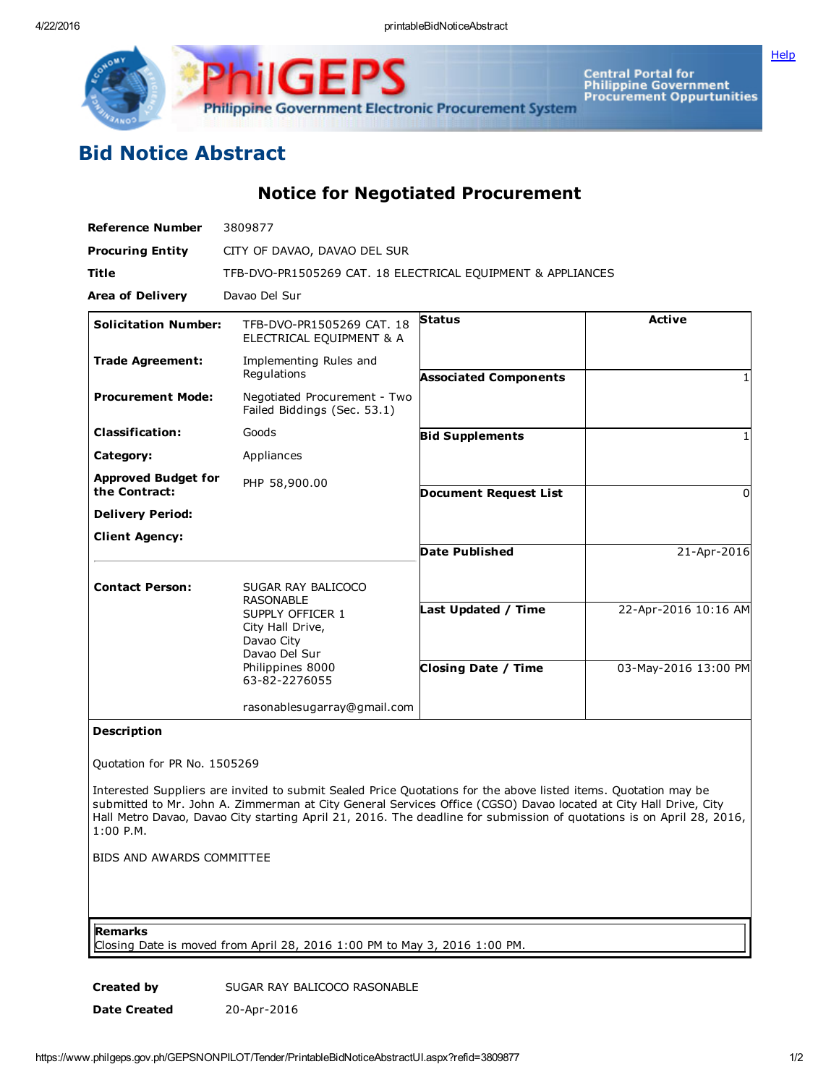4/22/2016 printableBidNoticeAbstract

**[Help](javascript:void(window.open()** 



Central Portal for<br>Philippine Government<br>Procurement Oppurtunities

## Bid Notice Abstract

Notice for Negotiated Procurement

| <b>Reference Number</b>                     | 3809877                                                             |                              |                      |
|---------------------------------------------|---------------------------------------------------------------------|------------------------------|----------------------|
| <b>Procuring Entity</b>                     | CITY OF DAVAO, DAVAO DEL SUR                                        |                              |                      |
| <b>Title</b>                                | TFB-DVO-PR1505269 CAT. 18 ELECTRICAL EQUIPMENT & APPLIANCES         |                              |                      |
| <b>Area of Delivery</b>                     | Davao Del Sur                                                       |                              |                      |
| <b>Solicitation Number:</b>                 | TFB-DVO-PR1505269 CAT, 18<br>ELECTRICAL EQUIPMENT & A               | <b>Status</b>                | <b>Active</b>        |
| <b>Trade Agreement:</b>                     | Implementing Rules and<br>Regulations                               | <b>Associated Components</b> |                      |
| <b>Procurement Mode:</b>                    | Negotiated Procurement - Two<br>Failed Biddings (Sec. 53.1)         |                              |                      |
| <b>Classification:</b>                      | Goods                                                               | <b>Bid Supplements</b>       |                      |
| Category:                                   | Appliances                                                          |                              |                      |
| <b>Approved Budget for</b><br>the Contract: | PHP 58,900.00                                                       | <b>Document Request List</b> | 0                    |
| <b>Delivery Period:</b>                     |                                                                     |                              |                      |
| <b>Client Agency:</b>                       |                                                                     |                              |                      |
|                                             |                                                                     | Date Published               | 21-Apr-2016          |
| <b>Contact Person:</b>                      | SUGAR RAY BALICOCO<br><b>RASONABLE</b>                              | Last Updated / Time          | 22-Apr-2016 10:16 AM |
|                                             | SUPPLY OFFICER 1<br>City Hall Drive,<br>Davao City<br>Davao Del Sur |                              |                      |
|                                             | Philippines 8000<br>63-82-2276055                                   | <b>Closing Date / Time</b>   | 03-May-2016 13:00 PM |
|                                             | rasonablesugarray@gmail.com                                         |                              |                      |
| .                                           |                                                                     |                              |                      |

## Description

Quotation for PR No. 1505269

Interested Suppliers are invited to submit Sealed Price Quotations for the above listed items. Quotation may be submitted to Mr. John A. Zimmerman at City General Services Office (CGSO) Davao located at City Hall Drive, City Hall Metro Davao, Davao City starting April 21, 2016. The deadline for submission of quotations is on April 28, 2016, 1:00 P.M.

BIDS AND AWARDS COMMITTEE

Remarks

Closing Date is moved from April 28, 2016 1:00 PM to May 3, 2016 1:00 PM.

Created by SUGAR RAY BALICOCO RASONABLE Date Created 20-Apr-2016